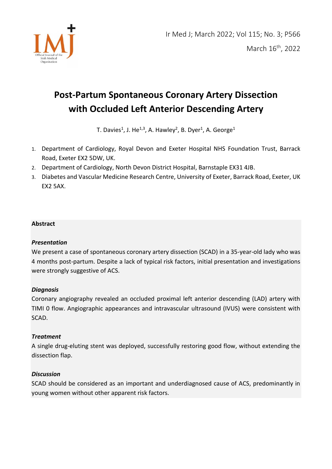

# **Post-Partum Spontaneous Coronary Artery Dissection with Occluded Left Anterior Descending Artery**

T. Davies $^1$ , J. He $^{1,3}$ , A. Hawley $^2$ , B. Dyer $^1$ , A. George $^1$ 

- 1. Department of Cardiology, Royal Devon and Exeter Hospital NHS Foundation Trust, Barrack Road, Exeter EX2 5DW, UK.
- 2. Department of Cardiology, North Devon District Hospital, Barnstaple EX31 4JB.
- 3. Diabetes and Vascular Medicine Research Centre, University of Exeter, Barrack Road, Exeter, UK EX2 5AX.

## **Abstract**

## *Presentation*

We present a case of spontaneous coronary artery dissection (SCAD) in a 35-year-old lady who was 4 months post-partum. Despite a lack of typical risk factors, initial presentation and investigations were strongly suggestive of ACS.

## *Diagnosis*

Coronary angiography revealed an occluded proximal left anterior descending (LAD) artery with TIMI 0 flow. Angiographic appearances and intravascular ultrasound (IVUS) were consistent with SCAD.

## *Treatment*

A single drug-eluting stent was deployed, successfully restoring good flow, without extending the dissection flap.

## *Discussion*

SCAD should be considered as an important and underdiagnosed cause of ACS, predominantly in young women without other apparent risk factors.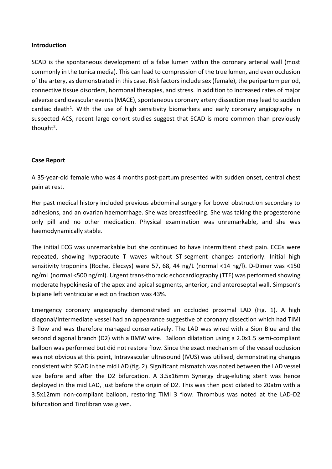#### **Introduction**

SCAD is the spontaneous development of a false lumen within the coronary arterial wall (most commonly in the tunica media). This can lead to compression of the true lumen, and even occlusion of the artery, as demonstrated in this case. Risk factors include sex (female), the peripartum period, connective tissue disorders, hormonal therapies, and stress. In addition to increased rates of major adverse cardiovascular events (MACE), spontaneous coronary artery dissection may lead to sudden cardiac death<sup>1</sup>. With the use of high sensitivity biomarkers and early coronary angiography in suspected ACS, recent large cohort studies suggest that SCAD is more common than previously thought<sup>2</sup>.

#### **Case Report**

A 35-year-old female who was 4 months post-partum presented with sudden onset, central chest pain at rest.

Her past medical history included previous abdominal surgery for bowel obstruction secondary to adhesions, and an ovarian haemorrhage. She was breastfeeding. She was taking the progesterone only pill and no other medication. Physical examination was unremarkable, and she was haemodynamically stable.

The initial ECG was unremarkable but she continued to have intermittent chest pain. ECGs were repeated, showing hyperacute T waves without ST-segment changes anteriorly. Initial high sensitivity troponins (Roche, Elecsys) were 57, 68, 44 ng/L (normal <14 ng/l). D-Dimer was <150 ng/mL (normal <500 ng/ml). Urgent trans-thoracic echocardiography (TTE) was performed showing moderate hypokinesia of the apex and apical segments, anterior, and anteroseptal wall. Simpson's biplane left ventricular ejection fraction was 43%.

Emergency coronary angiography demonstrated an occluded proximal LAD (Fig. 1). A high diagonal/intermediate vessel had an appearance suggestive of coronary dissection which had TIMI 3 flow and was therefore managed conservatively. The LAD was wired with a Sion Blue and the second diagonal branch (D2) with a BMW wire. Balloon dilatation using a 2.0x1.5 semi-compliant balloon was performed but did not restore flow. Since the exact mechanism of the vessel occlusion was not obvious at this point, Intravascular ultrasound (IVUS) was utilised, demonstrating changes consistent with SCAD in the mid LAD (fig. 2). Significant mismatch was noted between the LAD vessel size before and after the D2 bifurcation. A 3.5x16mm Synergy drug-eluting stent was hence deployed in the mid LAD, just before the origin of D2. This was then post dilated to 20atm with a 3.5x12mm non-compliant balloon, restoring TIMI 3 flow. Thrombus was noted at the LAD-D2 bifurcation and Tirofibran was given.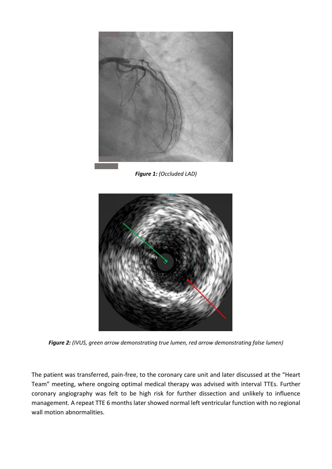

*Figure 1: (Occluded LAD)* 



*Figure 2: (IVUS, green arrow demonstrating true lumen, red arrow demonstrating false lumen)* 

The patient was transferred, pain-free, to the coronary care unit and later discussed at the "Heart Team" meeting, where ongoing optimal medical therapy was advised with interval TTEs. Further coronary angiography was felt to be high risk for further dissection and unlikely to influence management. A repeat TTE 6 months later showed normal left ventricular function with no regional wall motion abnormalities.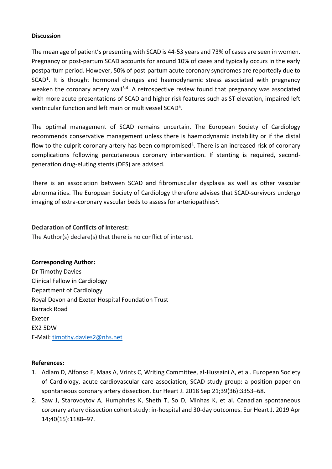#### **Discussion**

The mean age of patient's presenting with SCAD is 44-53 years and 73% of cases are seen in women. Pregnancy or post-partum SCAD accounts for around 10% of cases and typically occurs in the early postpartum period. However, 50% of post-partum acute coronary syndromes are reportedly due to SCAD<sup>1</sup>. It is thought hormonal changes and haemodynamic stress associated with pregnancy weaken the coronary artery wall<sup>3,4</sup>. A retrospective review found that pregnancy was associated with more acute presentations of SCAD and higher risk features such as ST elevation, impaired left ventricular function and left main or multivessel SCAD<sup>5</sup>.

The optimal management of SCAD remains uncertain. The European Society of Cardiology recommends conservative management unless there is haemodynamic instability or if the distal flow to the culprit coronary artery has been compromised<sup>1</sup>. There is an increased risk of coronary complications following percutaneous coronary intervention. If stenting is required, secondgeneration drug-eluting stents (DES) are advised.

There is an association between SCAD and fibromuscular dysplasia as well as other vascular abnormalities. The European Society of Cardiology therefore advises that SCAD-survivors undergo imaging of extra-coronary vascular beds to assess for arteriopathies<sup>1</sup>.

#### **Declaration of Conflicts of Interest:**

The Author(s) declare(s) that there is no conflict of interest.

### **Corresponding Author:**

Dr Timothy Davies Clinical Fellow in Cardiology Department of Cardiology Royal Devon and Exeter Hospital Foundation Trust Barrack Road Exeter EX2 5DW E-Mail[: timothy.davies2@nhs.net](mailto:timothy.davies2@nhs.net)

#### **References:**

- 1. Adlam D, Alfonso F, Maas A, Vrints C, Writing Committee, al-Hussaini A, et al. European Society of Cardiology, acute cardiovascular care association, SCAD study group: a position paper on spontaneous coronary artery dissection. Eur Heart J. 2018 Sep 21;39(36):3353–68.
- 2. Saw J, Starovoytov A, Humphries K, Sheth T, So D, Minhas K, et al. Canadian spontaneous coronary artery dissection cohort study: in-hospital and 30-day outcomes. Eur Heart J. 2019 Apr 14;40(15):1188–97.